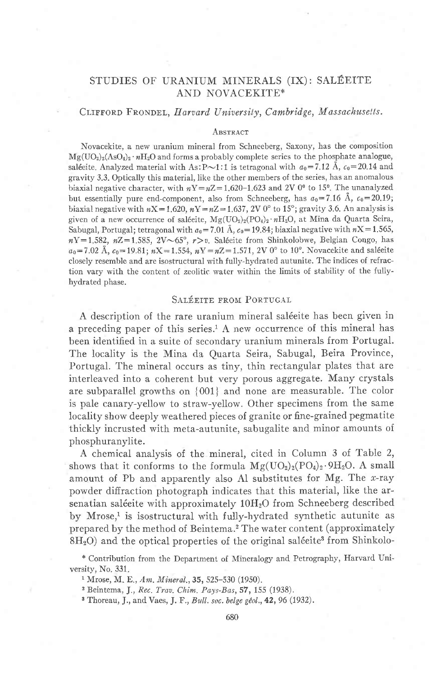# STUDIES OF URANIUM MINERALS (IX): SALÉEITE AND NOVACEKITE\*

### CLIFFORD FRONDEL, Harvard University, Cambridge, Massachusetts.

#### ABSTRACT

Novacekite, a new uranium mineral from Schneeberg, Saxony, has the composition  $Mg(UO_2)_2(AsO_4)_2 \cdot nH_2O$  and forms a probably complete series to the phosphate analogue, saléeite. Analyzed material with As: P $\sim$ 1:1 is tetragonal with  $a_0$ =7.12 Å,  $c_0$ =20.14 and gravity 3.3. Optically this material, like the other members of the series, has an anomalous biaxial negative character, with  $nY = nZ = 1.620 - 1.623$  and 2V 0<sup>o</sup> to 15<sup>o</sup>. The unanalyzed but essentially pure end-component, also from Schneeberg, has  $a_0 = 7.16$  Å,  $c_0 = 20.19$ ; biaxial negative with  $nX = 1.620$ ,  $nY = nZ = 1.637$ , 2V 0° to 15°; gravity 3.6. An analysis is given of a new occurrence of saléeite,  $Mg(UO_2)_2(PO_4)_2 \cdot nH_2O$ , at Mina da Quarta Seira, Sabugal, Portugal; tetragonal with  $a_0 = 7.01 \text{ Å}$ ,  $c_0 = 19.84$ ; biaxial negative with  $nX = 1.565$ ,  $nY=1,582$ ,  $nZ=1,585$ ,  $2V\sim 65^{\circ}$ ,  $r>v$ . Saléeite from Shinkolobwe, Belgian Congo, has  $a_0 = 7.02$  Å,  $c_0 = 19.81$ ;  $nX = 1.554$ ,  $nY = nZ = 1.571$ , 2V 0° to 10°. Novacekite and salécite closely resemble and are isostructural with fully-hydrated autunite. The indices of refraction vary with the content of zeolitic water within the limits of stability of the fullyhydrated phase.

### SALÉEITE FROM PORTUGAL

A description of the rare uranium mineral saléeite has been given in a preceding paper of this series.<sup>1</sup> A new occurrence of this mineral has been identified in a suite of secondary uranium minerals from Portugal. The locality is the Mina da Quarta Seira, Sabugal, Beira Province, Portugal. The mineral occurs as tiny, thin rectangular plates that are interleaved into a coherent but very porous aggregate. Many crystals are subparallel growths on {001} and none are measurable. The color is pale canary-yellow to straw-yellow. Other specimens from the same locality show deeply weathered pieces of granite or fine-grained pegmatite thickly incrusted with meta-autunite, sabugalite and minor amounts of phosphuranylite.

A chemical analysis of the mineral, cited in Column 3 of Table 2, shows that it conforms to the formula  $Mg(UO_2)_2(PO_4)_2.9H_2O$ . A small amount of Pb and apparently also Al substitutes for Mg. The x-ray powder diffraction photograph indicates that this material, like the arsenatian saléeite with approximately 10H<sub>2</sub>O from Schneeberg described by Mrose,<sup>1</sup> is isostructural with fully-hydrated synthetic autunite as prepared by the method of Beintema.<sup>2</sup> The water content (approximately 8H<sub>2</sub>O) and the optical properties of the original saléeite<sup>3</sup> from Shinkolo-

<sup>\*</sup> Contribution from the Department of Mineralogy and Petrography, Harvard University, No. 331.

<sup>&</sup>lt;sup>1</sup> Mrose, M. E., Am. Mineral., 35, 525-530 (1950).

<sup>&</sup>lt;sup>2</sup> Beintema, J., Rec. Trav. Chim. Pays-Bas, 57, 155 (1938).

<sup>&</sup>lt;sup>3</sup> Thoreau, J., and Vaes, J. F., Bull. soc. belge géol., 42, 96 (1932).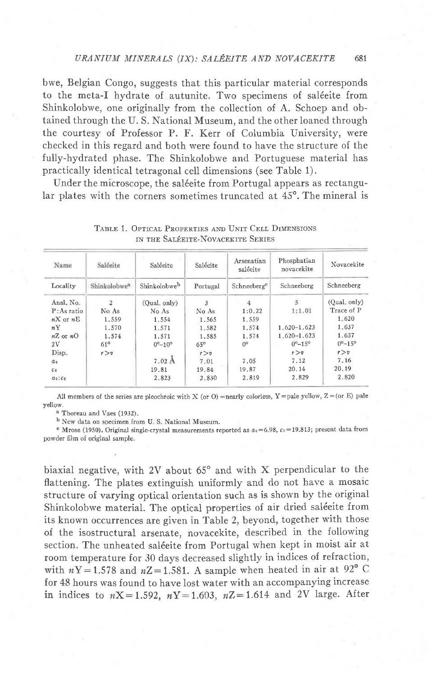bwe, Belgian Congo, suggests that this particular material corresponds to the meta-I hydrate of autunite. Two specimens of saléeite from Shinkolobwe, one originally from the collection of A. Schoep and obtained through the U.S. National Museum, and the other loaned through the courtesy of Professor P. F. Kerr of Columbia University, were checked in this regard and both were found to have the structure of the fully-hydrated phase. The Shinkolobwe and Portuguese material has practically identical tetragonal cell dimensions (see Table 1).

Under the microscope, the saléeite from Portugal appears as rectangular plates with the corners sometimes truncated at 45°. The mineral is

| Name           | Saléeite                 | Saléeite               | Saléeite   | Arsenatian<br>saléeite  | Phosphatian<br>novacekite | Novacekite               |
|----------------|--------------------------|------------------------|------------|-------------------------|---------------------------|--------------------------|
| Locality       | Shinkolohwe <sup>a</sup> | Shinkolobweb           | Portugal   | Schneeberg <sup>e</sup> | Schneeberg                | Schneeberg               |
| Anal. No.      | 2                        | (Qual. only)           | 3          | 4                       | $5$ .                     | $(Qual. \onel v)$        |
| P: As ratio    | No As                    | No As                  | No As      | 1:0.22                  | 1:1.01                    | Trace of P               |
| $nX$ or $nE$   | 1.559                    | 1.554                  | 1.565      | 1.559                   |                           | $1 - 620$                |
| nY             | 1.570                    | 1.571                  | 1.582      | 1.574                   | $1.620 - 1.623$           | 1.637                    |
| $nZ$ or $nO$   | 1.574                    | 1.571                  | 1.585      | 1.574                   | $1.620 - 1.623$           | 1.637                    |
| 2V             | $61^\circ$               | $0^{\circ}-10^{\circ}$ | $65^\circ$ | $0^{\circ}$             | $0^{\circ} - 15^{\circ}$  | $0^{\circ} - 15^{\circ}$ |
| Disp.          | r > v                    |                        | r > v      |                         | r > v                     | r > v                    |
| a <sub>0</sub> |                          | $7.02 \text{ Å}$       | 7.01       | 7.05                    | 7.12                      | 7.16                     |
| C <sub>0</sub> |                          | 19.81                  | 19.84      | 19.87                   | 20.14                     | 20.19                    |
| $a_0$ : $c_0$  |                          | 2.823                  | 2.830      | 2.819                   | 2.829                     | 2.820                    |

TABLE 1. OPTICAL PROPERTIES AND UNIT CELL DIMENSIONS IN THE SALÉEITE-NOVACEKITE SERIES

All members of the series are pleochroic with X (or O) = nearly colorless, Y = pale yellow, Z = (or E) pale vellow.

a Thoreau and Vaes (1932).

<sup>b</sup> New data on specimen from U.S. National Museum.

<sup>e</sup> Mrose (1950). Original single-crystal measurements reported as  $a_0 = 6.98$ ,  $c_0 = 19.813$ ; present data from powder film of original sample.

biaxial negative, with 2V about  $65^{\circ}$  and with X perpendicular to the flattening. The plates extinguish uniformly and do not have a mosaic structure of varying optical orientation such as is shown by the original Shinkolobwe material. The optical properties of air dried saléeite from its known occurrences are given in Table 2, beyond, together with those of the isostructural arsenate, novacekite, described in the following section. The unheated saléeite from Portugal when kept in moist air at room temperature for 30 days decreased slightly in indices of refraction, with  $nY = 1.578$  and  $nZ = 1.581$ . A sample when heated in air at 92° C for 48 hours was found to have lost water with an accompanying increase in indices to  $nX = 1.592$ ,  $nY = 1.603$ ,  $nZ = 1.614$  and 2V large. After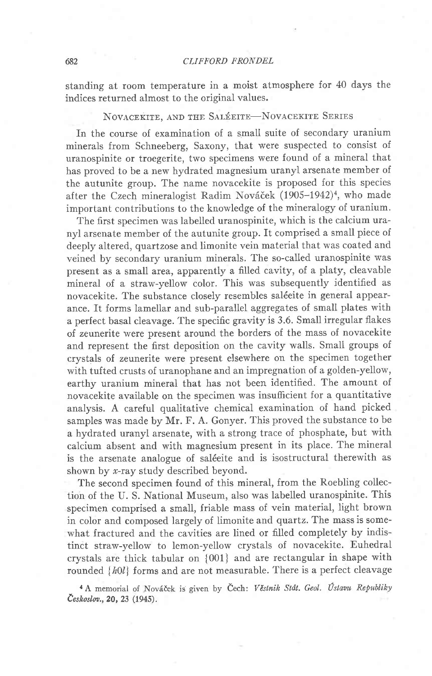standing at room temperature in a moist atmosphere for 40 days the indices returned almost to the original values.

# NOVACEKITE, AND THE SALÉEITE-NOVACEKITE SERIES

In the course of examination of a small suite of secondary uranium minerals from Schneeberg, Saxony, that were suspected to consist of uranospinite or troegerite, two specimens were found of a mineral that has proved to be a new hydrated magnesium uranyl arsenate member of the autunite group. The name novacekite is proposed for this species after the Czech mineralogist Radim Nováček (1905–1942)<sup>4</sup>, who made important contributions to the knowledge of the mineralogy of uranium.

The first specimen was labelled uranospinite, which is the calcium uranyl arsenate member of the autunite group. ft comprised a small piece of deeply altered, quartzose and limonite vein material that was coated and veined by secondary uranium minerals. The so-called uranospinite was present as a small area, apparently a filled cavity, of a platy, cleavable mineral of a straw-yellow color. This was subsequently identified as novacekite. The substance closely resembles saléeite in general appearance. ft forms lamellar and sub-parallel aggregates of small plates with a perfect basal cleavage. The specific gravity is 3.6. Small irregular flakes of zeunerite were present around the borders of the mass of novacekite and represent the first deposition on the cavity walls. Small groups of crystals of zeunerite were present elsewhere on the specimen together with tufted crusts of uranophane and an impregnation of a golden-yellow, earthy uranium mineral that has not been identified. The amount of novacekite available on the specimen was insufficient for a quantitative analysis. A careful qualitative chemical examination of hand picked samples was made by Mr. F. A. Gonyer. This proved the substance to be a hydrated uranyl arsenate, with a strong trace of phosphate, but with calcium absent and with magnesium present in its place. The mineral is the arsenate analogue of saléeite and is isostructural therewith as shown by  $x$ -ray study described beyond.

The second specimen found of this mineral, from the Roebling collection of the U. S. National Museum, also was labelled uranospinite. This specimen comprised a small, friable mass of vein material, light brown in color and composed largely of limonite and quartz. The mass is somewhat fractured and the cavities are lined or filled completely by indistinct straw-yellow to lemon-yellow crystals of novacekite. Euhedral crystals are thick tabular on {001} and are rectangular in shape with rounded  ${h0l}$  forms and are not measurable. There is a perfect cleavage

<sup>4</sup> A memorial of Nováček is given by Čech: Věstnik Stát. Geol. Ústavu Republiky Českoslov., 20, 23 (1945).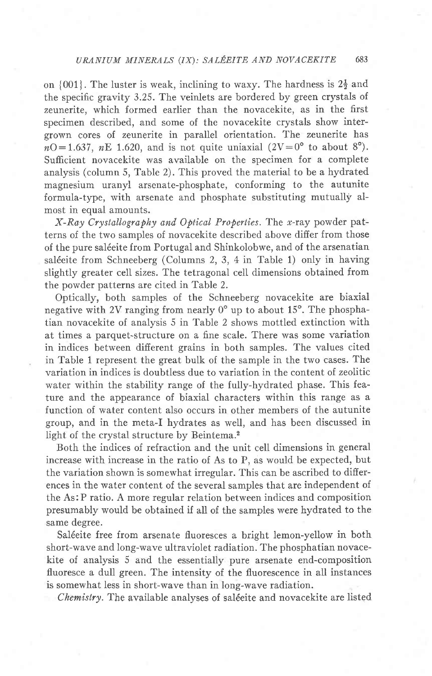on  $\{001\}$ . The luster is weak, inclining to waxy. The hardness is  $2\frac{1}{2}$  and the specific gravity 3.25. The veinlets are bordered by green crystals of zeunerite, which formed earlier than the novacekite, as in the first specimen described, and some of the novacekite crystals show intergrown cores of zeunerite in parallel orientation. The zeunerite has  $nO=1.637$ ,  $nE$  1.620, and is not quite uniaxial  $(2V=0^{\circ}$  to about 8°). Sufficient novacekite was available on the specimen for a complete analysis (column 5, Table 2). This proved the material to be a hydrated magnesium uranyl arsenate-phosphate, conforming to the autunite formula-type, with arsenate and phosphate substituting mutually almost in equal amounts.

X-Ray Crystallography and Optical Properties. The x-ray powder patterns of the two samples of novacekite described above differ from those of the pure sal6eite from Portugal and Shinkolobwe, and of the arsenatian saléeite from Schneeberg (Columns 2, 3, 4 in Table 1) only in having slightly greater cell sizes. The tetragonal cell dimensions obtained from the powder patterns are cited in Table 2.

Optically, both samples of the Schneeberg novacekite are biaxial negative with 2V ranging from nearly  $0^{\circ}$  up to about 15<sup>o</sup>. The phosphatian novacekite of analysis 5 in Tab\e 2 shows mottled extinction with at times a parquet-structure on a fine scale. There was some variation in indices between difierent grains in both samples. The values cited in Table 1 represent the great bulk of the sample in the two cases. The variation in indices is doubtless due to variation in the content of zeolitic water within the stability range of the fully-hydrated phase. This feature and the appearance of biaxial characters within this range as a function of water content also occurs in other members of the autunite group, and in the meta-I hydrates as well, and has been discussed in light of the crystal structure by Beintema.2

Both the indices of refraction and the unit cell dimensions in general increase with increase in the ratio of As to P, as would be expected, but the variation shown is somewhat irregular. This can be ascribed to differences in the water content of the several samples that are independent of the As: P ratio. A more regular relation between indices and composition presumably would be obtained if all of the samples were hydrated to the same degree.

Saléeite free from arsenate fluoresces a bright lemon-yellow in both short-wave and long-wave ultraviolet radiation. The phosphatian novacekite of analysis 5 and the essentially pure arsenate end-composition fluoresce a dull green. The intensity of the fluorescence in all instances is somewhat less in short-wave than in long-wave radiation.

Chemistry. The available analyses of saléeite and novacekite are listed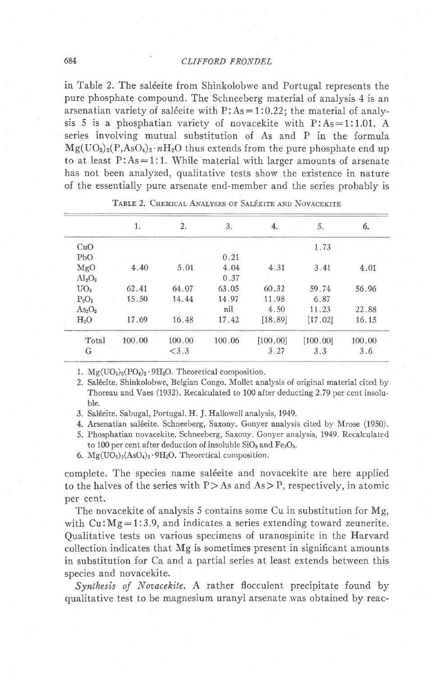### 684 CLIFFORD FRONDEL

in Table 2. The saléeite from Shinkolobwe and Portugal represents the pure phosphate compound. The Schneeberg material of analysis 4 is an arsenatian variety of saléeite with  $P: As=1:0.22$ ; the material of analysis 5 is a phosphatian variety of novacekite with  $P: As=1:1.01$ . A series involving mutual substitution of As and P in the formula  $Mg(UO<sub>2</sub>)<sub>2</sub>(P, AsO<sub>4</sub>)<sub>2</sub>·nH<sub>2</sub>O$  thus extends from the pure phosphate end up to at least  $P: As = 1:1$ . While material with larger amounts of arsenate has not been analyzed, qualitative tests show the existence in nature of the essentially pure arsenate end-member and the series probably is

|                                | 1.     | 2.     | 3.     | 4.        | 5.       | 6.     |
|--------------------------------|--------|--------|--------|-----------|----------|--------|
| CuO                            |        |        |        |           | 1.73     |        |
| PbO                            |        |        | 0.21   |           |          |        |
| MgO                            | 4.40   | 5.01   | 4.04   | 4.31      | 3.41     | 4.01   |
| $Al_2O_3$                      |        |        | 0.37   |           |          |        |
| UO <sub>3</sub>                | 62.41  | 64.07  | 63.05  | 60.32     | 59.74    | 56.96  |
| $P_2O_5$                       | 15.50  | 14.44  | 14.97  | 11.98     | 6.87     |        |
| As <sub>2</sub> O <sub>5</sub> |        |        | nil    | 4.50      | 11.23    | 22.88  |
| H <sub>2</sub> O               | 17.69  | 16.48  | 17.42  | [18.89]   | [17.02]  | 16.15  |
| Total                          | 100.00 | 100.00 | 100.06 | [100, 00] | [100.00] | 100.00 |
| G                              |        | < 3.3  |        | 3.27      | 3.3      | 3.6    |
|                                |        |        |        |           |          |        |

#### TABLE 2. CHEMICAL ANALYSES OF SALÉEITE AND NOVACEKITE

1.  $Mg(UO_2)_2(PO_4)_2.9H_2O$ . Theoretical composition.

2. Sal6eite. Shinkolobwe, Belgian Congo. Mollet analysis of original material cited by Thoreau and Vaes (1932). Recalculated to 100 after deducting 2 79 per cent insoluble.

- 3. Sal6eite. Sabugal, Portugal. H. J. Hallowell analysis, 1949.
- 4. Arsenatian sal6eite. Schneeberg, Saxony. Gonyer analysis cited by Mrose (1950).
- 5. Phosphatian novacekite. Schneeberg, Saxony. Gonyer analysis, 1949. Recalculated to 100 per cent after deduction of insoluble  $SiO<sub>2</sub>$  and  $Fe<sub>2</sub>O<sub>3</sub>$ .

6.  $Mg(UO<sub>2</sub>)<sub>2</sub>(AsO<sub>4</sub>)<sub>2</sub>·9H<sub>2</sub>O$ . Theoretical composition.

complete. The species name saléeite and novacekite are here applied to the halves of the series with  $P > As$  and  $As > P$ , respectively, in atomic per cent.

The novacekite of analysis 5 contains some Cu in substitution for Mg, with  $Cu:Mg=1:3.9$ , and indicates a series extending toward zeunerite. Qualitative tests on various specimens of uranospinite in the Harvard collection indicates that Mg is sometimes present in significant amounts in substitution for Ca and a partial series at least extends between this species and novacekite.

Synthesis of Novacekite. A rather flocculent precipitate found by qualitative test to be magnesium uranyl arsenate was obtained by reac-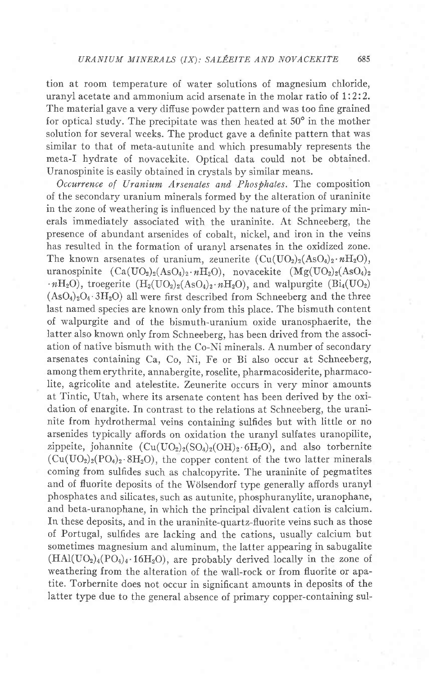tion at room temperature of water solutions of magnesium chloride, uranyl acetate and ammonium acid arsenate in the molar ratio of 1:2:2. The material gave a very difiuse powder pattern and was too fine grained for optical study. The precipitate was then heated at  $50^{\circ}$  in the mother solution for several weeks. The product gave a definite pattern that was similar to that of meta-autunite and which presumably represents the meta-I hydrate of novacekite. Optical data could not be obtained. Uranospinite is easily obtained in crystals by similar means.

Occurrence of Uranium Arsenates and Phosphates. The composition of the secondary uranium minerals formed by the alteration of uraninite in the zone of weathering is influenced by the nature of the primary minerals immediately associated with the uraninite. At Schneeberg, the presence of abundant arsenides of cobalt, nickel, and iron in the veins has resulted in the formation of uranyl arsenates in the oxidized zone. The known arsenates of uranium, zeunerite  $(Cu(UO<sub>2</sub>)<sub>2</sub>(AsO<sub>4</sub>)<sub>2</sub>·nH<sub>2</sub>O)$ , uranospinite  $(Ca(UO_2)_2(AsO_4)_2 \cdot nH_2O)$ , novacekite  $(Mg(UO_2)_2(AsO_4)_2)$  $\cdot nH_2O$ ), troegerite  $(H_2(UO_2)_2(AsO_4)_2 \cdot nH_2O)$ , and walpurgite  $(Bi_4(UO_2))$  $(AsO<sub>4</sub>)<sub>2</sub>O<sub>4</sub>·3H<sub>2</sub>O)$  all were first described from Schneeberg and the three last named species are known only from this place. The bismuth content of walpurgite and of the bismuth-uranium oxide uranosphaerite, the latter also known only from Schneeberg, has been drived from the association of native bismuth with the Co-Ni minerals. A number of secondary arsenates containing Ca, Co, Ni, Fe or Bi also occur at Schneeberg, among them erythrite, annabergite, roselite, pharmacosiderite, pharmacolite, agricolite and atelestite. Zeunerite occurs in very minor amounts at Tintic, Utah, where its arsenate content has been derived by the oxidation of enargite. In contrast to the relations at Schneeberg, the uraninite from hydrothermal veins containing sulfides but with little or no arsenides typically affords on oxidation the uranyl sulfates uranopilite, zippeite, johannite  $(Cu(UQ_2)_2(SQ_4)_2(OH)_2.6H_2O)$ , and also torbernite  $(Cu(UO<sub>2</sub>)<sub>2</sub>(PO<sub>4</sub>)<sub>2</sub>·8H<sub>2</sub>O),$  the copper content of the two latter minerals coming from sulfides such as chalcopyrite. The uraninite of pegmatites and of fluorite deposits of the Wölsendorf type generally affords uranyl phosphates and silicates, such as autunite, phosphuranylite, uranophane, and beta-uranophane, in which the principal divalent cation is calcium. In these deposits, and in the uraninite-quartz-fluorite veins such as those of Portugal, sulfides are lacking and the cations, usually calcium but sometimes magnesium and aluminum, the latter appearing in sabugalite  $(HAl(UO<sub>2</sub>)<sub>4</sub>(PO<sub>4</sub>)<sub>4</sub>·16H<sub>2</sub>O),$  are probably derived locally in the zone of weathering from the alteration of the wall-rock or from fluorite or apatite. Torbernite does not occur in significant amounts in deposits of the latter type due to the general absence of primary copper-containing sul-